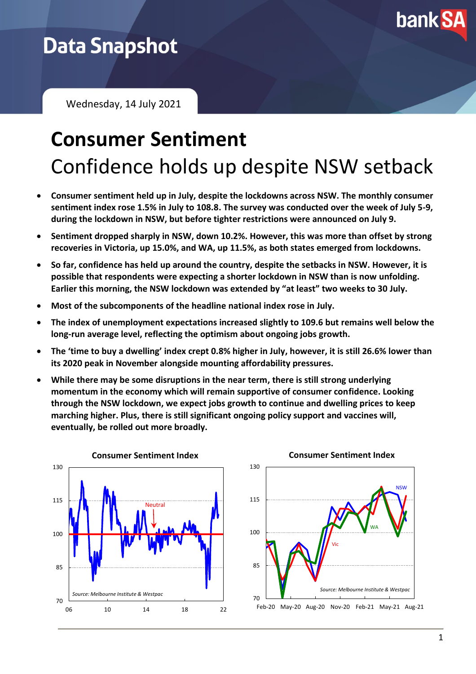

## **Data Snapshot**

Wednesday, 14 July 2021

## **Consumer Sentiment** Confidence holds up despite NSW setback

- **Consumer sentiment held up in July, despite the lockdowns across NSW. The monthly consumer sentiment index rose 1.5% in July to 108.8. The survey was conducted over the week of July 5-9, during the lockdown in NSW, but before tighter restrictions were announced on July 9.**
- **Sentiment dropped sharply in NSW, down 10.2%. However, this was more than offset by strong recoveries in Victoria, up 15.0%, and WA, up 11.5%, as both states emerged from lockdowns.**
- **So far, confidence has held up around the country, despite the setbacks in NSW. However, it is possible that respondents were expecting a shorter lockdown in NSW than is now unfolding. Earlier this morning, the NSW lockdown was extended by "at least" two weeks to 30 July.**
- **Most of the subcomponents of the headline national index rose in July.**
- **The index of unemployment expectations increased slightly to 109.6 but remains well below the long-run average level, reflecting the optimism about ongoing jobs growth.**
- **The 'time to buy a dwelling' index crept 0.8% higher in July, however, it is still 26.6% lower than its 2020 peak in November alongside mounting affordability pressures.**
- **While there may be some disruptions in the near term, there is still strong underlying momentum in the economy which will remain supportive of consumer confidence. Looking through the NSW lockdown, we expect jobs growth to continue and dwelling prices to keep marching higher. Plus, there is still significant ongoing policy support and vaccines will, eventually, be rolled out more broadly.**



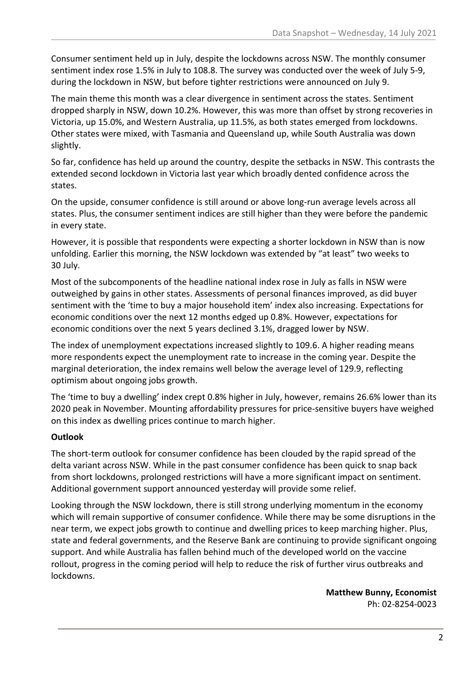Consumer sentiment held up in July, despite the lockdowns across NSW. The monthly consumer sentiment index rose 1.5% in July to 108.8. The survey was conducted over the week of July 5-9, during the lockdown in NSW, but before tighter restrictions were announced on July 9.

The main theme this month was a clear divergence in sentiment across the states. Sentiment dropped sharply in NSW, down 10.2%. However, this was more than offset by strong recoveries in Victoria, up 15.0%, and Western Australia, up 11.5%, as both states emerged from lockdowns. Other states were mixed, with Tasmania and Queensland up, while South Australia was down slightly.

So far, confidence has held up around the country, despite the setbacks in NSW. This contrasts the extended second lockdown in Victoria last year which broadly dented confidence across the states.

On the upside, consumer confidence is still around or above long-run average levels across all states. Plus, the consumer sentiment indices are still higher than they were before the pandemic in every state.

However, it is possible that respondents were expecting a shorter lockdown in NSW than is now unfolding. Earlier this morning, the NSW lockdown was extended by "at least" two weeks to 30 July.

Most of the subcomponents of the headline national index rose in July as falls in NSW were outweighed by gains in other states. Assessments of personal finances improved, as did buyer sentiment with the 'time to buy a major household item' index also increasing. Expectations for economic conditions over the next 12 months edged up 0.8%. However, expectations for economic conditions over the next 5 years declined 3.1%, dragged lower by NSW.

The index of unemployment expectations increased slightly to 109.6. A higher reading means more respondents expect the unemployment rate to increase in the coming year. Despite the marginal deterioration, the index remains well below the average level of 129.9, reflecting optimism about ongoing jobs growth.

The 'time to buy a dwelling' index crept 0.8% higher in July, however, remains 26.6% lower than its 2020 peak in November. Mounting affordability pressures for price-sensitive buyers have weighed on this index as dwelling prices continue to march higher.

## **Outlook**

The short-term outlook for consumer confidence has been clouded by the rapid spread of the delta variant across NSW. While in the past consumer confidence has been quick to snap back from short lockdowns, prolonged restrictions will have a more significant impact on sentiment. Additional government support announced yesterday will provide some relief.

Looking through the NSW lockdown, there is still strong underlying momentum in the economy which will remain supportive of consumer confidence. While there may be some disruptions in the near term, we expect jobs growth to continue and dwelling prices to keep marching higher. Plus, state and federal governments, and the Reserve Bank are continuing to provide significant ongoing support. And while Australia has fallen behind much of the developed world on the vaccine rollout, progress in the coming period will help to reduce the risk of further virus outbreaks and lockdowns.

> **Matthew Bunny, Economist** Ph: 02-8254-0023